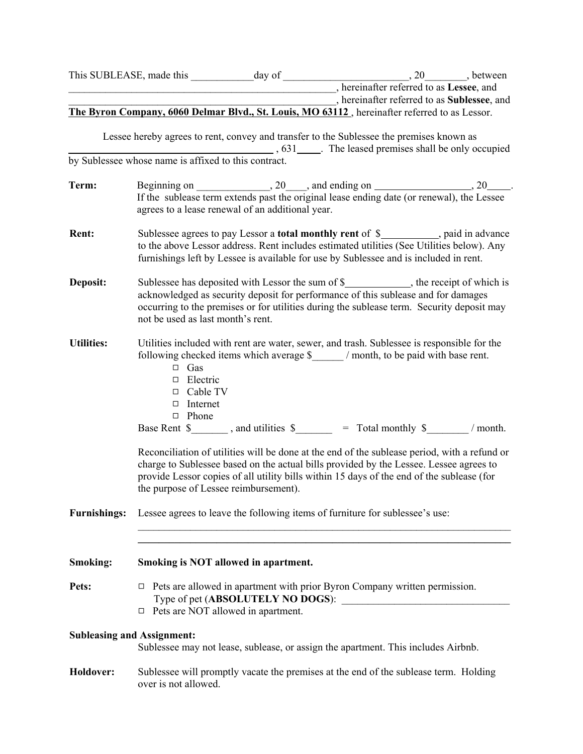|                                                                                                                        |                                                                                                                                                                                                                                                                                                                                                                                                                                                                                                           | ________________________, hereinafter referred to as Sublessee, and                                                                          |        |  |
|------------------------------------------------------------------------------------------------------------------------|-----------------------------------------------------------------------------------------------------------------------------------------------------------------------------------------------------------------------------------------------------------------------------------------------------------------------------------------------------------------------------------------------------------------------------------------------------------------------------------------------------------|----------------------------------------------------------------------------------------------------------------------------------------------|--------|--|
|                                                                                                                        | The Byron Company, 6060 Delmar Blvd., St. Louis, MO 63112, hereinafter referred to as Lessor.                                                                                                                                                                                                                                                                                                                                                                                                             |                                                                                                                                              |        |  |
|                                                                                                                        | Lessee hereby agrees to rent, convey and transfer to the Sublessee the premises known as<br>by Sublessee whose name is affixed to this contract.                                                                                                                                                                                                                                                                                                                                                          |                                                                                                                                              |        |  |
|                                                                                                                        |                                                                                                                                                                                                                                                                                                                                                                                                                                                                                                           |                                                                                                                                              |        |  |
| Term:                                                                                                                  | agrees to a lease renewal of an additional year.                                                                                                                                                                                                                                                                                                                                                                                                                                                          |                                                                                                                                              |        |  |
| <b>Rent:</b>                                                                                                           | Sublessee agrees to pay Lessor a <b>total monthly rent</b> of \$__________, paid in advance<br>to the above Lessor address. Rent includes estimated utilities (See Utilities below). Any<br>furnishings left by Lessee is available for use by Sublessee and is included in rent.                                                                                                                                                                                                                         |                                                                                                                                              |        |  |
| Deposit:                                                                                                               | Sublessee has deposited with Lessor the sum of \$_______________, the receipt of which is<br>acknowledged as security deposit for performance of this sublease and for damages<br>occurring to the premises or for utilities during the sublease term Servity deposit may<br>n eused as st mont ent.                                                                                                                                                                                                      |                                                                                                                                              |        |  |
| Utilities:                                                                                                             | J<br>les included with re<br>ving checked items<br>f<br>$\Box$ Gas<br>$\Box$ Electric<br>$\Box$ Cable TV<br>$\Box$ Internet<br>$\Box$ Phone<br>tilities \$<br>Rent $\S$ ,<br>Reconciliation of utilities will be done at the end of the sublease period, with a refund or<br>charge to Sublessee based on the actual bills provided by the Lessee. Lessee agrees to<br>provide Lessor copies of all utility bills within 15 days of the end of the sublease (for<br>the purpose of Lessee reimbursement). | re water, sewe d trash. $\beta$ essee is responsible for the<br>ch average $\frac{1}{2}$ / more b be paid with base rent.<br>hly \$<br>Total | month. |  |
| <b>Furnishings:</b>                                                                                                    | Lessee agrees to leave the following items of furniture for sublessee's use:                                                                                                                                                                                                                                                                                                                                                                                                                              |                                                                                                                                              |        |  |
| <b>Smoking:</b>                                                                                                        | Smoking is NOT allowed in apartment.                                                                                                                                                                                                                                                                                                                                                                                                                                                                      |                                                                                                                                              |        |  |
| Pets:                                                                                                                  | Pets are allowed in apartment with prior Byron Company written permission.<br>$\Box$<br>Pets are NOT allowed in apartment.<br>$\Box$                                                                                                                                                                                                                                                                                                                                                                      |                                                                                                                                              |        |  |
| <b>Subleasing and Assignment:</b><br>Sublessee may not lease, sublease, or assign the apartment. This includes Airbnb. |                                                                                                                                                                                                                                                                                                                                                                                                                                                                                                           |                                                                                                                                              |        |  |
| Holdover:                                                                                                              | Sublessee will promptly vacate the premises at the end of the sublease term. Holding<br>over is not allowed.                                                                                                                                                                                                                                                                                                                                                                                              |                                                                                                                                              |        |  |